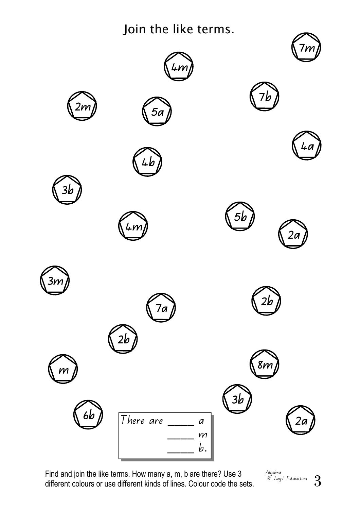Join the like terms.



Find and join the like terms. How many a, m, b are there? Use 3 different colours or use different kinds of lines. Colour code the sets.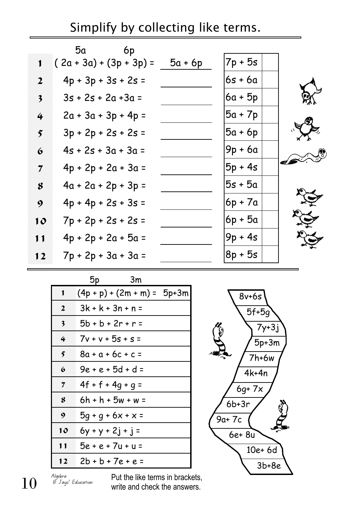Simplify by collecting like terms.

|                         | 6p<br>5α                  |           |           |  |
|-------------------------|---------------------------|-----------|-----------|--|
| J.                      | $(2a + 3a) + (3p + 3p) =$ | $5a + 6p$ | $7p + 5s$ |  |
| $\boldsymbol{2}$        | $4p + 3p + 3s + 2s =$     |           | 6s + 6a   |  |
| $\overline{\mathbf{3}}$ | $3s + 2s + 2a + 3a =$     |           | 6a + 5p   |  |
| 4                       | $2a + 3a + 3p + 4p =$     |           | $5a + 7p$ |  |
| 5                       | $3p + 2p + 2s + 2s =$     |           | 5a + 6p   |  |
| $\bullet$               | $4s + 2s + 3a + 3a =$     |           | 9p + 6a   |  |
| 7                       | $4p + 2p + 2a + 3a =$     |           | $5p + 4s$ |  |
| 8                       | $4a + 2a + 2p + 3p =$     |           | $5s + 5a$ |  |
| 9                       | $4p + 4p + 2s + 3s =$     |           | 6p + 7a   |  |
| 10                      | $7p + 2p + 2s + 2s =$     |           | 6p + 5a   |  |
| N                       | $4p + 2p + 2a + 5a =$     |           | $9p + 4s$ |  |
| 12                      | $7p + 2p + 3a + 3a =$     |           | $8p + 5s$ |  |
|                         |                           |           |           |  |

|                  | 5p<br>Зm                        |
|------------------|---------------------------------|
| 1                | $(4p + p) + (2m + m) = 5p + 3m$ |
| $\boldsymbol{2}$ | $3k + k + 3n + n =$             |
| 3                | 5b + b + 2r + r =               |
| 4                | $7v + v + 5s + s =$             |
| 5                | 8a + a + 6c + c =               |
| 6                | $9e + e + 5d + d =$             |
| 7                | $4f + f + 4g + g =$             |
| 8                | $6h + h + 5w + w =$             |
| 9                | $5g + g + 6x + x =$             |
| 10               | $6y + y + 2j + j =$             |
| 11               | $5e + e + 7u + u =$             |
| 12               | $2b + b + 7e + e =$             |



Algebra © Jays' Education

 $10$  Algebra Put the like terms in brackets,<br>write and check the answers. write and check the answers.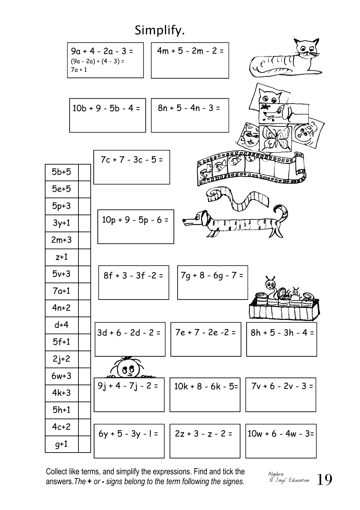

Collect like terms, and simplify the expressions. Find and tick the surfaction answers. The + or - signs belong to the term following the signes. The stake of  $19$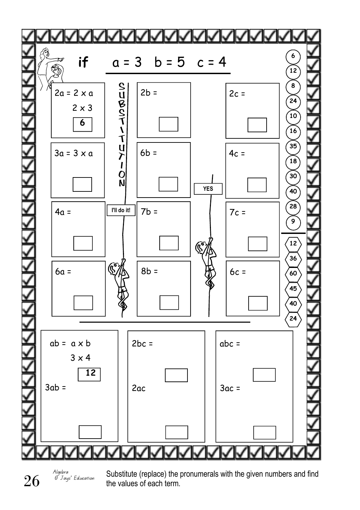

Algebra © Jays' Education

 $26 \int_{\frac{\text{Algebra}}{\text{g}J_{\text{avg}}}$  Substitute (replace) the pronumerals with the given numbers and find the values of each term. the values of each term.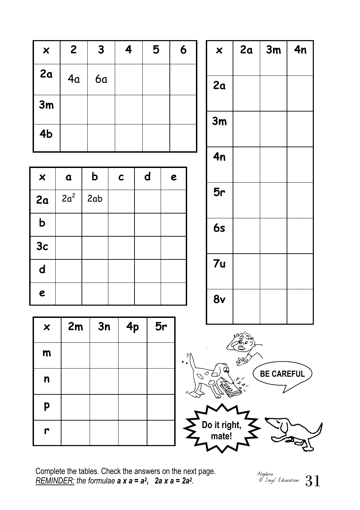| $\boldsymbol{\mathsf{x}}$ | $\mathbf{2}$ | 3         | 4 | 5 | 6 |
|---------------------------|--------------|-----------|---|---|---|
| 2a                        | 4a           | <b>6a</b> |   |   |   |
| 3m                        |              |           |   |   |   |
| 4b                        |              |           |   |   |   |

| $\boldsymbol{\mathsf{x}}$ | $\alpha$ | $\mathbf b$ | $\mathbf c$ | $\mathbf d$ | e |
|---------------------------|----------|-------------|-------------|-------------|---|
| 2a                        | $2a^2$   | 2ab         |             |             |   |
| $\mathbf b$               |          |             |             |             |   |
| 3c                        |          |             |             |             |   |
| $\mathbf d$               |          |             |             |             |   |
| $\boldsymbol{e}$          |          |             |             |             |   |

| $\boldsymbol{\mathsf{x}}$ | 2m | 3n | 4p | 5r |
|---------------------------|----|----|----|----|
| m                         |    |    |    |    |
| $\boldsymbol{n}$          |    |    |    |    |
| p                         |    |    |    |    |
| r                         |    |    |    |    |







Complete the tables. Check the answers on the next page. REMINDER: the formulae  $a \times a = a^2$ ,  $2a \times a = 2a^2$ .

31 Algebra © Jays' Education